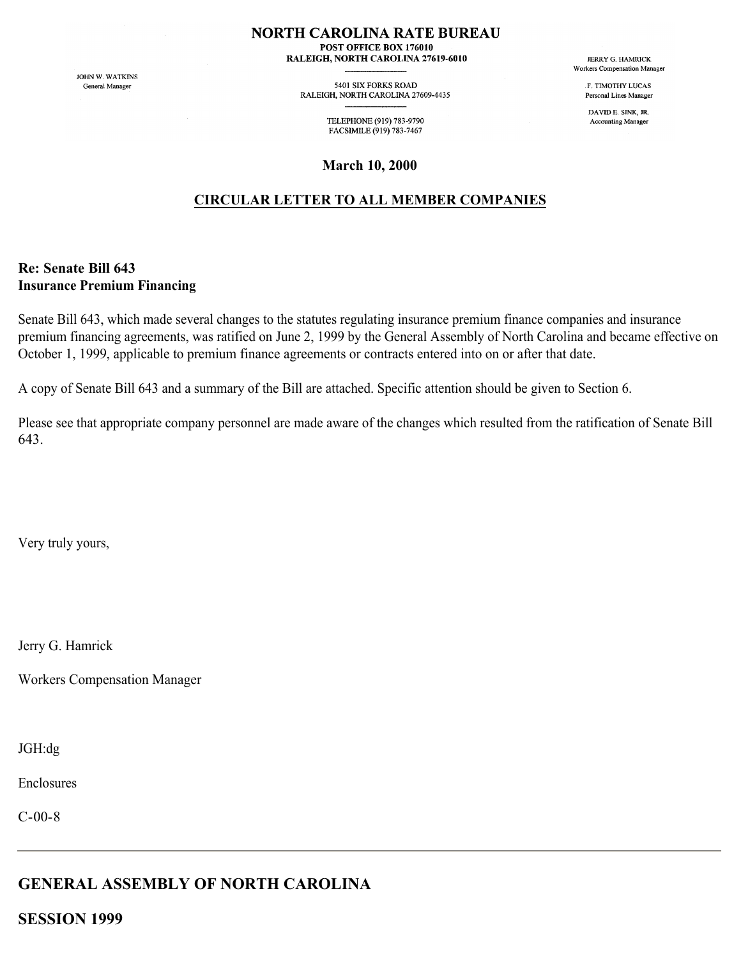#### **NORTH CAROLINA RATE BUREAU**

POST OFFICE BOX 176010 RALEIGH, NORTH CAROLINA 27619-6010

JOHN W. WATKINS General Manager

5401 SIX FORKS ROAD RALEIGH, NORTH CAROLINA 27609-4435

> TELEPHONE (919) 783-9790 FACSIMILE (919) 783-7467

**March 10, 2000**

## **CIRCULAR LETTER TO ALL MEMBER COMPANIES**

### **Re: Senate Bill 643 Insurance Premium Financing**

Senate Bill 643, which made several changes to the statutes regulating insurance premium finance companies and insurance premium financing agreements, was ratified on June 2, 1999 by the General Assembly of North Carolina and became effective on October 1, 1999, applicable to premium finance agreements or contracts entered into on or after that date.

A copy of Senate Bill 643 and a summary of the Bill are attached. Specific attention should be given to Section 6.

Please see that appropriate company personnel are made aware of the changes which resulted from the ratification of Senate Bill 643.

Very truly yours,

Jerry G. Hamrick

Workers Compensation Manager

JGH:dg

Enclosures

C-00-8

# **GENERAL ASSEMBLY OF NORTH CAROLINA**

**SESSION 1999**

**JERRY G. HAMRICK** Workers Compensation Manager

> **F TIMOTHY LUCAS** Personal Lines Manager

DAVID E. SINK, JR. Accounting Manager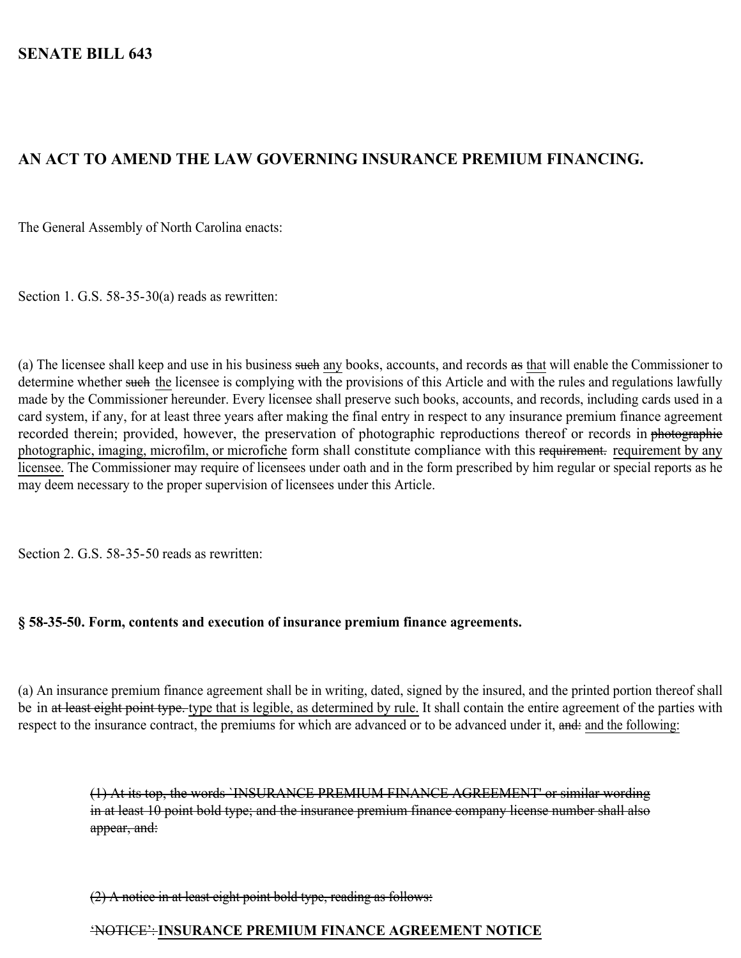# **AN ACT TO AMEND THE LAW GOVERNING INSURANCE PREMIUM FINANCING.**

The General Assembly of North Carolina enacts:

Section 1. G.S. 58-35-30(a) reads as rewritten:

(a) The licensee shall keep and use in his business such any books, accounts, and records as that will enable the Commissioner to determine whether such the licensee is complying with the provisions of this Article and with the rules and regulations lawfully made by the Commissioner hereunder. Every licensee shall preserve such books, accounts, and records, including cards used in a card system, if any, for at least three years after making the final entry in respect to any insurance premium finance agreement recorded therein; provided, however, the preservation of photographic reproductions thereof or records in photographic photographic, imaging, microfilm, or microfiche form shall constitute compliance with this requirement. requirement by any licensee. The Commissioner may require of licensees under oath and in the form prescribed by him regular or special reports as he may deem necessary to the proper supervision of licensees under this Article.

Section 2. G.S. 58-35-50 reads as rewritten:

### **§ 58-35-50. Form, contents and execution of insurance premium finance agreements.**

(a) An insurance premium finance agreement shall be in writing, dated, signed by the insured, and the printed portion thereof shall be in at least eight point type. type that is legible, as determined by rule. It shall contain the entire agreement of the parties with respect to the insurance contract, the premiums for which are advanced or to be advanced under it, and: and the following:

> (1) At its top, the words `INSURANCE PREMIUM FINANCE AGREEMENT' or similar wording in at least 10 point bold type; and the insurance premium finance company license number shall also appear, and:

(2) A notice in at least eight point bold type, reading as follows:

## 'NOTICE': **INSURANCE PREMIUM FINANCE AGREEMENT NOTICE**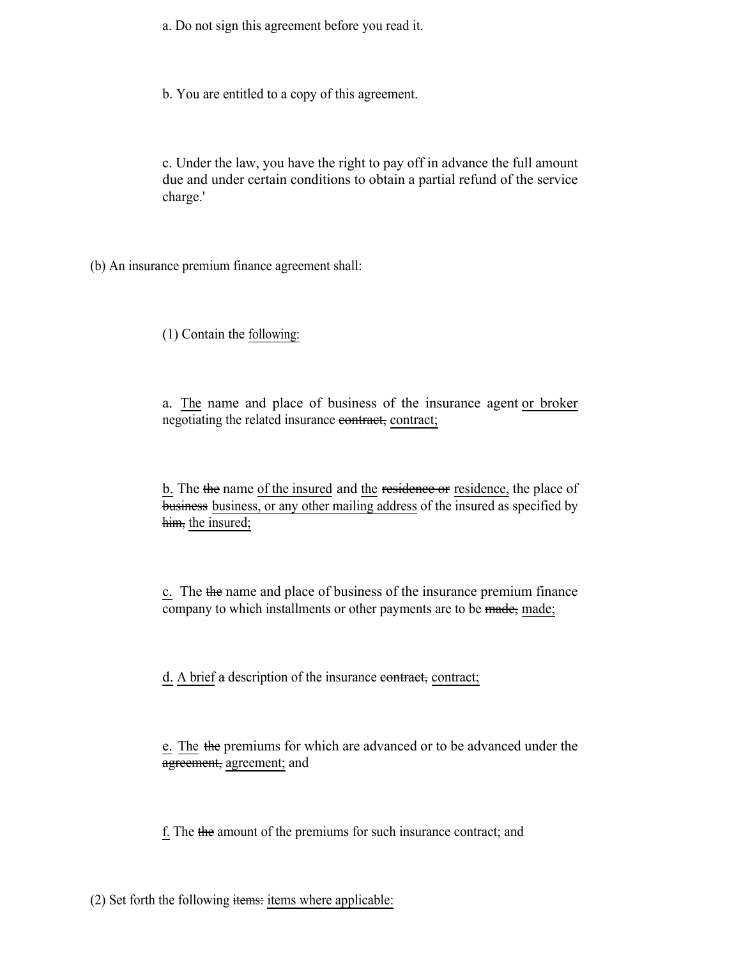a. Do not sign this agreement before you read it.

b. You are entitled to a copy of this agreement.

c. Under the law, you have the right to pay off in advance the full amount due and under certain conditions to obtain a partial refund of the service charge.'

(b) An insurance premium finance agreement shall:

(1) Contain the following:

a. The name and place of business of the insurance agent or broker negotiating the related insurance contract, contract;

b. The the name of the insured and the residence or residence, the place of business business, or any other mailing address of the insured as specified by him, the insured;

c. The the name and place of business of the insurance premium finance company to which installments or other payments are to be made, made;

d. A brief a description of the insurance contract, contract;

e. The the premiums for which are advanced or to be advanced under the agreement, agreement; and

f. The the amount of the premiums for such insurance contract; and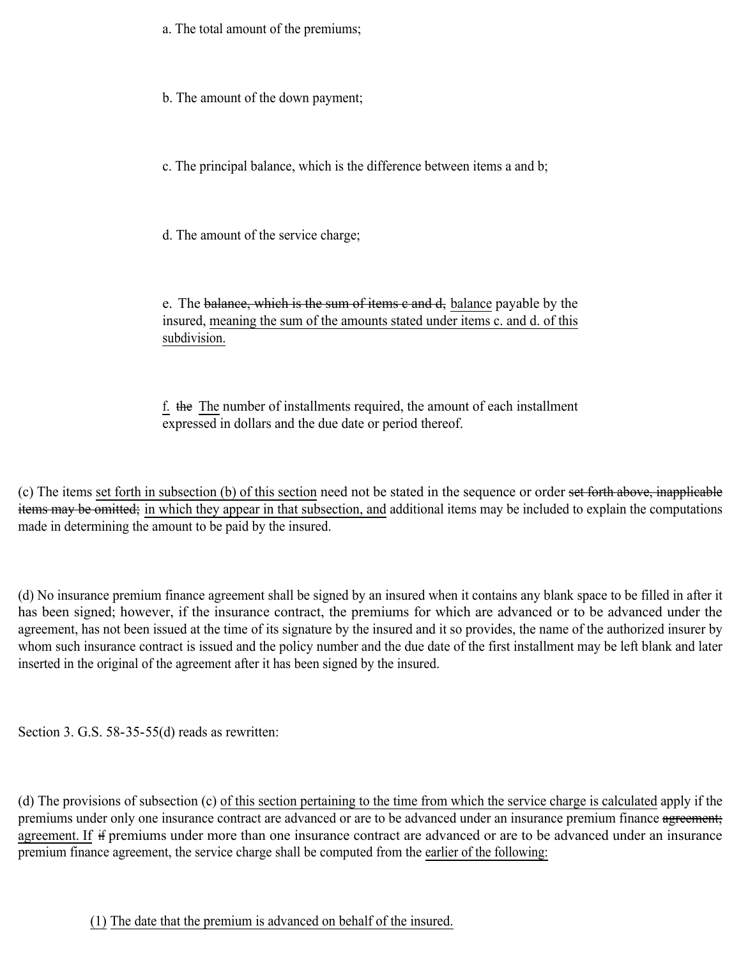a. The total amount of the premiums;

b. The amount of the down payment;

c. The principal balance, which is the difference between items a and b;

d. The amount of the service charge;

e. The balance, which is the sum of items e and d, balance payable by the insured, meaning the sum of the amounts stated under items c. and d. of this subdivision.

f. the The number of installments required, the amount of each installment expressed in dollars and the due date or period thereof.

(c) The items set forth in subsection (b) of this section need not be stated in the sequence or order set forth above, inapplicable items may be omitted; in which they appear in that subsection, and additional items may be included to explain the computations made in determining the amount to be paid by the insured.

(d) No insurance premium finance agreement shall be signed by an insured when it contains any blank space to be filled in after it has been signed; however, if the insurance contract, the premiums for which are advanced or to be advanced under the agreement, has not been issued at the time of its signature by the insured and it so provides, the name of the authorized insurer by whom such insurance contract is issued and the policy number and the due date of the first installment may be left blank and later inserted in the original of the agreement after it has been signed by the insured.

Section 3. G.S. 58-35-55(d) reads as rewritten:

(d) The provisions of subsection (c) of this section pertaining to the time from which the service charge is calculated apply if the premiums under only one insurance contract are advanced or are to be advanced under an insurance premium finance agreement; agreement. If if premiums under more than one insurance contract are advanced or are to be advanced under an insurance premium finance agreement, the service charge shall be computed from the earlier of the following:

(1) The date that the premium is advanced on behalf of the insured.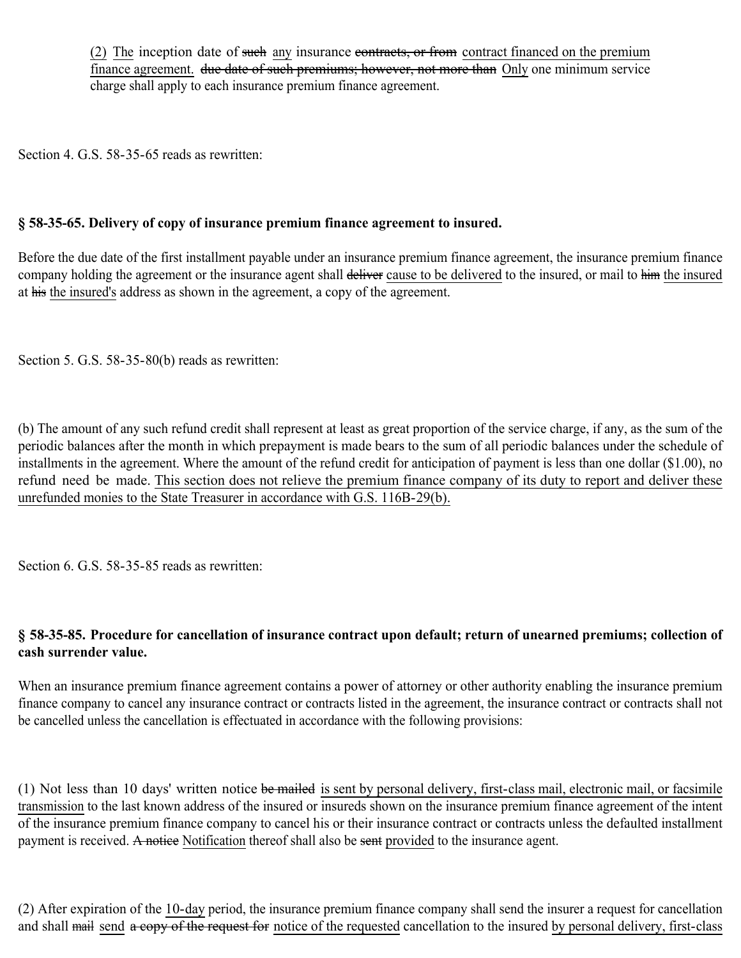(2) The inception date of such any insurance contracts, or from contract financed on the premium finance agreement. due date of such premiums; however, not more than Only one minimum service charge shall apply to each insurance premium finance agreement.

Section 4. G.S. 58-35-65 reads as rewritten:

## **§ 58-35-65. Delivery of copy of insurance premium finance agreement to insured.**

Before the due date of the first installment payable under an insurance premium finance agreement, the insurance premium finance company holding the agreement or the insurance agent shall deliver cause to be delivered to the insured, or mail to him the insured at his the insured's address as shown in the agreement, a copy of the agreement.

Section 5. G.S. 58-35-80(b) reads as rewritten:

(b) The amount of any such refund credit shall represent at least as great proportion of the service charge, if any, as the sum of the periodic balances after the month in which prepayment is made bears to the sum of all periodic balances under the schedule of installments in the agreement. Where the amount of the refund credit for anticipation of payment is less than one dollar (\$1.00), no refund need be made. This section does not relieve the premium finance company of its duty to report and deliver these unrefunded monies to the State Treasurer in accordance with G.S. 116B-29(b).

Section 6. G.S. 58-35-85 reads as rewritten:

## **§ 58-35-85. Procedure for cancellation of insurance contract upon default; return of unearned premiums; collection of cash surrender value.**

When an insurance premium finance agreement contains a power of attorney or other authority enabling the insurance premium finance company to cancel any insurance contract or contracts listed in the agreement, the insurance contract or contracts shall not be cancelled unless the cancellation is effectuated in accordance with the following provisions:

(1) Not less than 10 days' written notice be mailed is sent by personal delivery, first-class mail, electronic mail, or facsimile transmission to the last known address of the insured or insureds shown on the insurance premium finance agreement of the intent of the insurance premium finance company to cancel his or their insurance contract or contracts unless the defaulted installment payment is received. A notice Notification thereof shall also be sent provided to the insurance agent.

(2) After expiration of the 10-day period, the insurance premium finance company shall send the insurer a request for cancellation and shall mail send a copy of the request for notice of the requested cancellation to the insured by personal delivery, first-class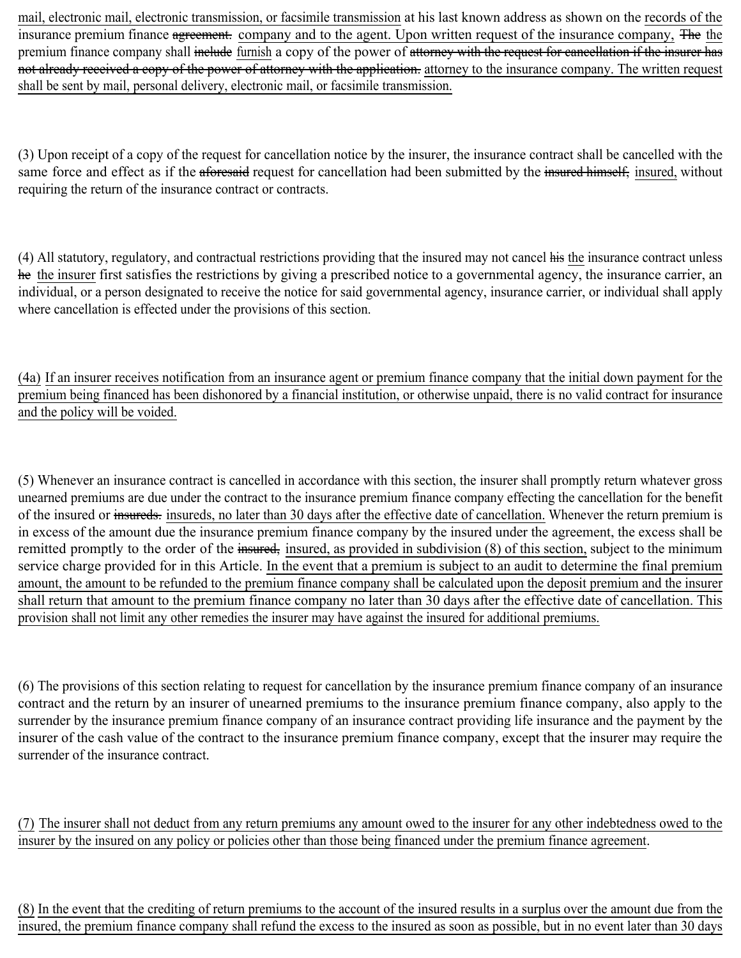mail, electronic mail, electronic transmission, or facsimile transmission at his last known address as shown on the records of the insurance premium finance agreement. company and to the agent. Upon written request of the insurance company, The the premium finance company shall include furnish a copy of the power of attorney with the request for cancellation if the insurer has not already received a copy of the power of attorney with the application, attorney to the insurance company. The written request shall be sent by mail, personal delivery, electronic mail, or facsimile transmission.

(3) Upon receipt of a copy of the request for cancellation notice by the insurer, the insurance contract shall be cancelled with the same force and effect as if the aforesaid request for cancellation had been submitted by the insured himself, insured, without requiring the return of the insurance contract or contracts.

(4) All statutory, regulatory, and contractual restrictions providing that the insured may not cancel his the insurance contract unless he the insurer first satisfies the restrictions by giving a prescribed notice to a governmental agency, the insurance carrier, an individual, or a person designated to receive the notice for said governmental agency, insurance carrier, or individual shall apply where cancellation is effected under the provisions of this section.

(4a) If an insurer receives notification from an insurance agent or premium finance company that the initial down payment for the premium being financed has been dishonored by a financial institution, or otherwise unpaid, there is no valid contract for insurance and the policy will be voided.

(5) Whenever an insurance contract is cancelled in accordance with this section, the insurer shall promptly return whatever gross unearned premiums are due under the contract to the insurance premium finance company effecting the cancellation for the benefit of the insured or insureds, insureds, no later than 30 days after the effective date of cancellation. Whenever the return premium is in excess of the amount due the insurance premium finance company by the insured under the agreement, the excess shall be remitted promptly to the order of the insured, insured, as provided in subdivision (8) of this section, subject to the minimum service charge provided for in this Article. In the event that a premium is subject to an audit to determine the final premium amount, the amount to be refunded to the premium finance company shall be calculated upon the deposit premium and the insurer shall return that amount to the premium finance company no later than 30 days after the effective date of cancellation. This provision shall not limit any other remedies the insurer may have against the insured for additional premiums.

(6) The provisions of this section relating to request for cancellation by the insurance premium finance company of an insurance contract and the return by an insurer of unearned premiums to the insurance premium finance company, also apply to the surrender by the insurance premium finance company of an insurance contract providing life insurance and the payment by the insurer of the cash value of the contract to the insurance premium finance company, except that the insurer may require the surrender of the insurance contract.

(7) The insurer shall not deduct from any return premiums any amount owed to the insurer for any other indebtedness owed to the insurer by the insured on any policy or policies other than those being financed under the premium finance agreement.

(8) In the event that the crediting of return premiums to the account of the insured results in a surplus over the amount due from the insured, the premium finance company shall refund the excess to the insured as soon as possible, but in no event later than 30 days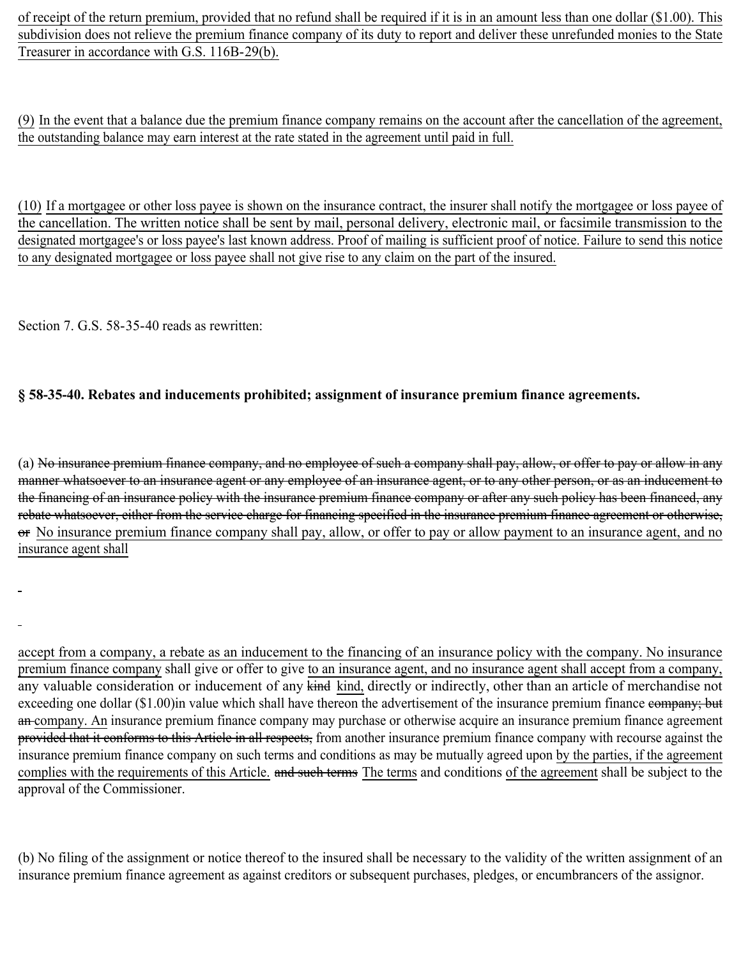of receipt of the return premium, provided that no refund shall be required if it is in an amount less than one dollar (\$1.00). This subdivision does not relieve the premium finance company of its duty to report and deliver these unrefunded monies to the State Treasurer in accordance with G.S. 116B-29(b).

(9) In the event that a balance due the premium finance company remains on the account after the cancellation of the agreement, the outstanding balance may earn interest at the rate stated in the agreement until paid in full.

(10) If a mortgagee or other loss payee is shown on the insurance contract, the insurer shall notify the mortgagee or loss payee of the cancellation. The written notice shall be sent by mail, personal delivery, electronic mail, or facsimile transmission to the designated mortgagee's or loss payee's last known address. Proof of mailing is sufficient proof of notice. Failure to send this notice to any designated mortgagee or loss payee shall not give rise to any claim on the part of the insured.

Section 7. G.S. 58-35-40 reads as rewritten:

## **§ 58-35-40. Rebates and inducements prohibited; assignment of insurance premium finance agreements.**

(a) No insurance premium finance company, and no employee of such a company shall pay, allow, or offer to pay or allow in any manner whatsoever to an insurance agent or any employee of an insurance agent, or to any other person, or as an inducement to the financing of an insurance policy with the insurance premium finance company or after any such policy has been financed, any rebate whatsoever, either from the service charge for financing specified in the insurance premium finance agreement or otherwise, or No insurance premium finance company shall pay, allow, or offer to pay or allow payment to an insurance agent, and no insurance agent shall

accept from a company, a rebate as an inducement to the financing of an insurance policy with the company. No insurance premium finance company shall give or offer to give to an insurance agent, and no insurance agent shall accept from a company, any valuable consideration or inducement of any kind kind, directly or indirectly, other than an article of merchandise not exceeding one dollar (\$1.00)in value which shall have thereon the advertisement of the insurance premium finance eompany; but an company. An insurance premium finance company may purchase or otherwise acquire an insurance premium finance agreement provided that it conforms to this Article in all respects, from another insurance premium finance company with recourse against the insurance premium finance company on such terms and conditions as may be mutually agreed upon by the parties, if the agreement complies with the requirements of this Article. and such terms The terms and conditions of the agreement shall be subject to the approval of the Commissioner.

(b) No filing of the assignment or notice thereof to the insured shall be necessary to the validity of the written assignment of an insurance premium finance agreement as against creditors or subsequent purchases, pledges, or encumbrancers of the assignor.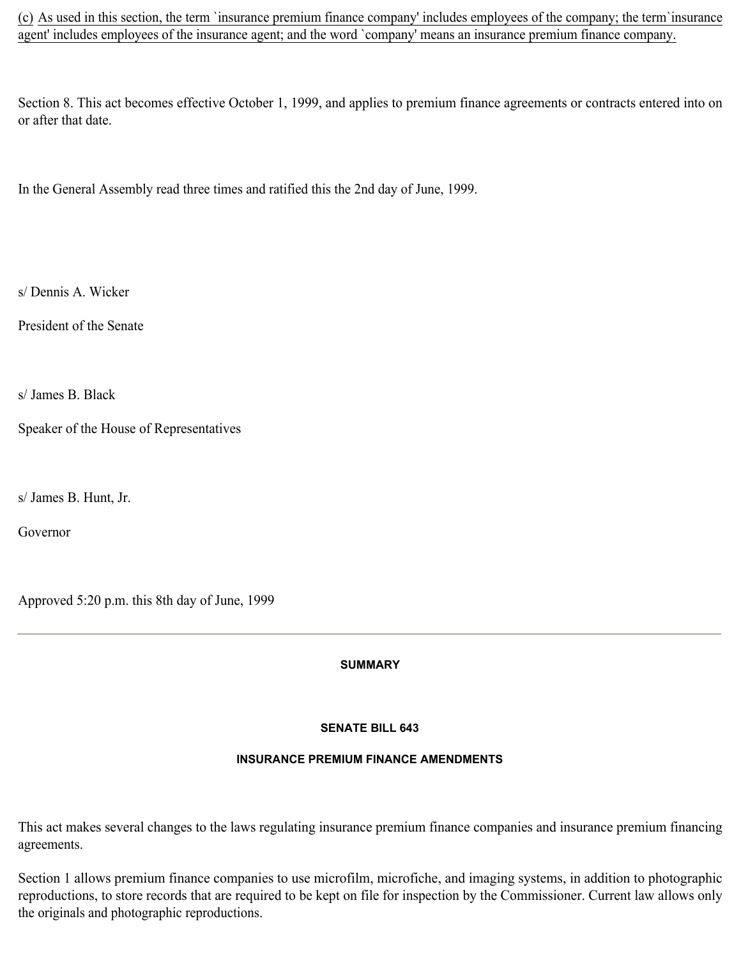(c) As used in this section, the term `insurance premium finance company' includes employees of the company; the term`insurance agent' includes employees of the insurance agent; and the word `company' means an insurance premium finance company.

Section 8. This act becomes effective October 1, 1999, and applies to premium finance agreements or contracts entered into on or after that date.

In the General Assembly read three times and ratified this the 2nd day of June, 1999.

s/ Dennis A. Wicker

President of the Senate

s/ James B. Black

Speaker of the House of Representatives

s/ James B. Hunt, Jr.

Governor

Approved 5:20 p.m. this 8th day of June, 1999

**SUMMARY**

### **SENATE BILL 643**

### **INSURANCE PREMIUM FINANCE AMENDMENTS**

This act makes several changes to the laws regulating insurance premium finance companies and insurance premium financing agreements.

Section 1 allows premium finance companies to use microfilm, microfiche, and imaging systems, in addition to photographic reproductions, to store records that are required to be kept on file for inspection by the Commissioner. Current law allows only the originals and photographic reproductions.